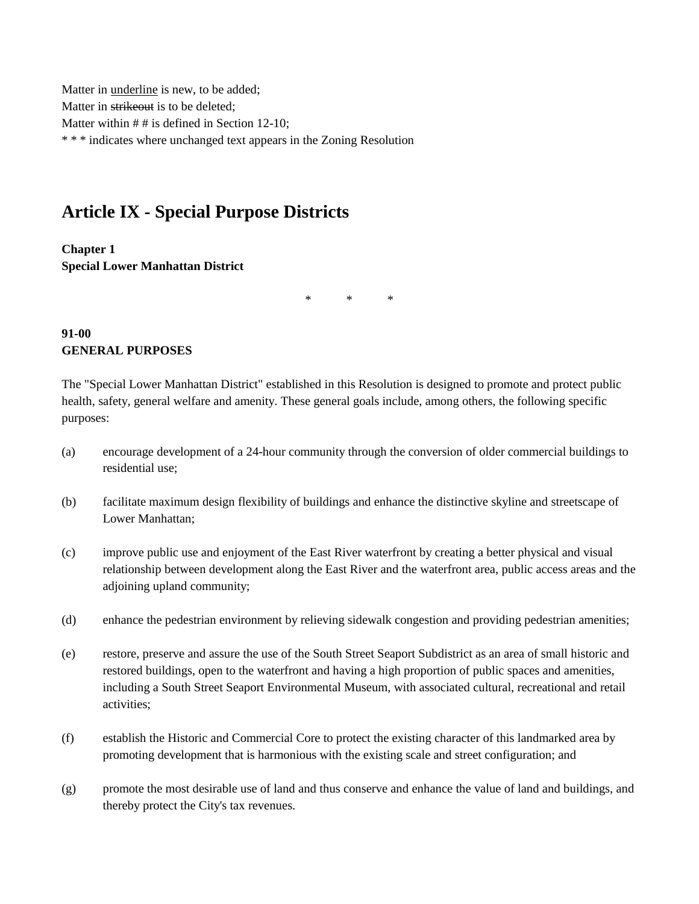Matter in underline is new, to be added; Matter in strikeout is to be deleted: Matter within  $# #$  is defined in Section 12-10; \* \* \* indicates where unchanged text appears in the Zoning Resolution

# **Article IX - Special Purpose Districts**

**Chapter 1 Special Lower Manhattan District**

\* \* \*

### **91-00 GENERAL PURPOSES**

The "Special Lower Manhattan District" established in this Resolution is designed to promote and protect public health, safety, general welfare and amenity. These general goals include, among others, the following specific purposes:

- (a) encourage development of a 24-hour community through the conversion of older commercial buildings to residential use;
- (b) facilitate maximum design flexibility of buildings and enhance the distinctive skyline and streetscape of Lower Manhattan;
- (c) improve public use and enjoyment of the East River waterfront by creating a better physical and visual relationship between development along the East River and the waterfront area, public access areas and the adjoining upland community;
- (d) enhance the pedestrian environment by relieving sidewalk congestion and providing pedestrian amenities;
- (e) restore, preserve and assure the use of the South Street Seaport Subdistrict as an area of small historic and restored buildings, open to the waterfront and having a high proportion of public spaces and amenities, including a South Street Seaport Environmental Museum, with associated cultural, recreational and retail activities;
- (f) establish the Historic and Commercial Core to protect the existing character of this landmarked area by promoting development that is harmonious with the existing scale and street configuration; and
- (g) promote the most desirable use of land and thus conserve and enhance the value of land and buildings, and thereby protect the City's tax revenues.